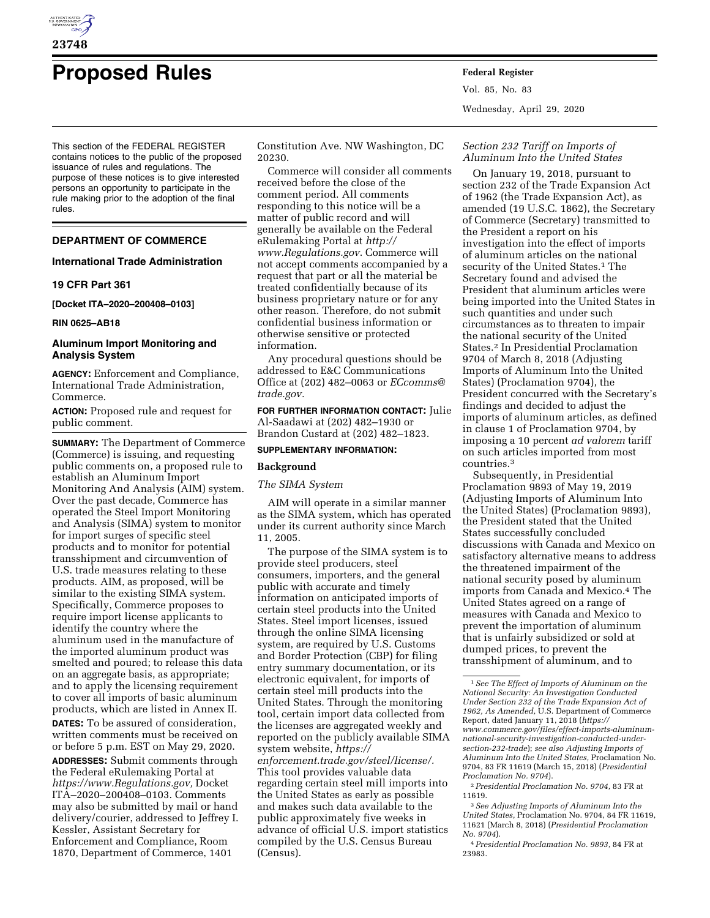

# **Proposed Rules Federal Register**

This section of the FEDERAL REGISTER contains notices to the public of the proposed issuance of rules and regulations. The purpose of these notices is to give interested persons an opportunity to participate in the rule making prior to the adoption of the final rules.

# **DEPARTMENT OF COMMERCE**

# **International Trade Administration**

# **19 CFR Part 361**

**[Docket ITA–2020–200408–0103]** 

#### **RIN 0625–AB18**

# **Aluminum Import Monitoring and Analysis System**

**AGENCY:** Enforcement and Compliance, International Trade Administration, Commerce.

**ACTION:** Proposed rule and request for public comment.

**SUMMARY:** The Department of Commerce (Commerce) is issuing, and requesting public comments on, a proposed rule to establish an Aluminum Import Monitoring And Analysis (AIM) system. Over the past decade, Commerce has operated the Steel Import Monitoring and Analysis (SIMA) system to monitor for import surges of specific steel products and to monitor for potential transshipment and circumvention of U.S. trade measures relating to these products. AIM, as proposed, will be similar to the existing SIMA system. Specifically, Commerce proposes to require import license applicants to identify the country where the aluminum used in the manufacture of the imported aluminum product was smelted and poured; to release this data on an aggregate basis, as appropriate; and to apply the licensing requirement to cover all imports of basic aluminum products, which are listed in Annex II. **DATES:** To be assured of consideration, written comments must be received on or before 5 p.m. EST on May 29, 2020. **ADDRESSES:** Submit comments through the Federal eRulemaking Portal at *[https://www.Regulations.gov,](https://www.Regulations.gov)* Docket ITA–2020–200408–0103. Comments may also be submitted by mail or hand delivery/courier, addressed to Jeffrey I. Kessler, Assistant Secretary for Enforcement and Compliance, Room 1870, Department of Commerce, 1401

Constitution Ave. NW Washington, DC 20230.

Commerce will consider all comments received before the close of the comment period. All comments responding to this notice will be a matter of public record and will generally be available on the Federal eRulemaking Portal at *[http://](http://www.Regulations.gov) [www.Regulations.gov](http://www.Regulations.gov)*. Commerce will not accept comments accompanied by a request that part or all the material be treated confidentially because of its business proprietary nature or for any other reason. Therefore, do not submit confidential business information or otherwise sensitive or protected information.

Any procedural questions should be addressed to E&C Communications Office at (202) 482–0063 or *[ECcomms@](mailto:ECcomms@trade.gov) [trade.gov.](mailto:ECcomms@trade.gov)* 

**FOR FURTHER INFORMATION CONTACT:** Julie Al-Saadawi at (202) 482–1930 or Brandon Custard at (202) 482–1823.

# **SUPPLEMENTARY INFORMATION:**

#### **Background**

#### *The SIMA System*

AIM will operate in a similar manner as the SIMA system, which has operated under its current authority since March 11, 2005.

The purpose of the SIMA system is to provide steel producers, steel consumers, importers, and the general public with accurate and timely information on anticipated imports of certain steel products into the United States. Steel import licenses, issued through the online SIMA licensing system, are required by U.S. Customs and Border Protection (CBP) for filing entry summary documentation, or its electronic equivalent, for imports of certain steel mill products into the United States. Through the monitoring tool, certain import data collected from the licenses are aggregated weekly and reported on the publicly available SIMA system website, *[https://](https://enforcement.trade.gov/steel/license/) [enforcement.trade.gov/steel/license/.](https://enforcement.trade.gov/steel/license/)*  This tool provides valuable data regarding certain steel mill imports into the United States as early as possible and makes such data available to the public approximately five weeks in advance of official U.S. import statistics compiled by the U.S. Census Bureau (Census).

# *Section 232 Tariff on Imports of Aluminum Into the United States*

Wednesday, April 29, 2020

Vol. 85, No. 83

On January 19, 2018, pursuant to section 232 of the Trade Expansion Act of 1962 (the Trade Expansion Act), as amended (19 U.S.C. 1862), the Secretary of Commerce (Secretary) transmitted to the President a report on his investigation into the effect of imports of aluminum articles on the national security of the United States.<sup>1</sup> The Secretary found and advised the President that aluminum articles were being imported into the United States in such quantities and under such circumstances as to threaten to impair the national security of the United States.2 In Presidential Proclamation 9704 of March 8, 2018 (Adjusting Imports of Aluminum Into the United States) (Proclamation 9704), the President concurred with the Secretary's findings and decided to adjust the imports of aluminum articles, as defined in clause 1 of Proclamation 9704, by imposing a 10 percent *ad valorem* tariff on such articles imported from most countries.3

Subsequently, in Presidential Proclamation 9893 of May 19, 2019 (Adjusting Imports of Aluminum Into the United States) (Proclamation 9893), the President stated that the United States successfully concluded discussions with Canada and Mexico on satisfactory alternative means to address the threatened impairment of the national security posed by aluminum imports from Canada and Mexico.4 The United States agreed on a range of measures with Canada and Mexico to prevent the importation of aluminum that is unfairly subsidized or sold at dumped prices, to prevent the transshipment of aluminum, and to

<sup>1</sup>*See The Effect of Imports of Aluminum on the National Security: An Investigation Conducted Under Section 232 of the Trade Expansion Act of 1962, As Amended,* U.S. Department of Commerce Report, dated January 11, 2018 (*[https://](https://www.commerce.gov/files/effect-imports-aluminum-national-security-investigation-conducted-under-section-232-trade) [www.commerce.gov/files/effect-imports-aluminum](https://www.commerce.gov/files/effect-imports-aluminum-national-security-investigation-conducted-under-section-232-trade)national-security-investigation-conducted-under[section-232-trade](https://www.commerce.gov/files/effect-imports-aluminum-national-security-investigation-conducted-under-section-232-trade)*); *see also Adjusting Imports of Aluminum Into the United States,* Proclamation No. 9704, 83 FR 11619 (March 15, 2018) (*Presidential Proclamation No. 9704*).

<sup>2</sup>*Presidential Proclamation No. 9704,* 83 FR at 11619.

<sup>3</sup>*See Adjusting Imports of Aluminum Into the United States,* Proclamation No. 9704, 84 FR 11619, 11621 (March 8, 2018) (*Presidential Proclamation No. 9704*).

<sup>4</sup>*Presidential Proclamation No. 9893,* 84 FR at 23983.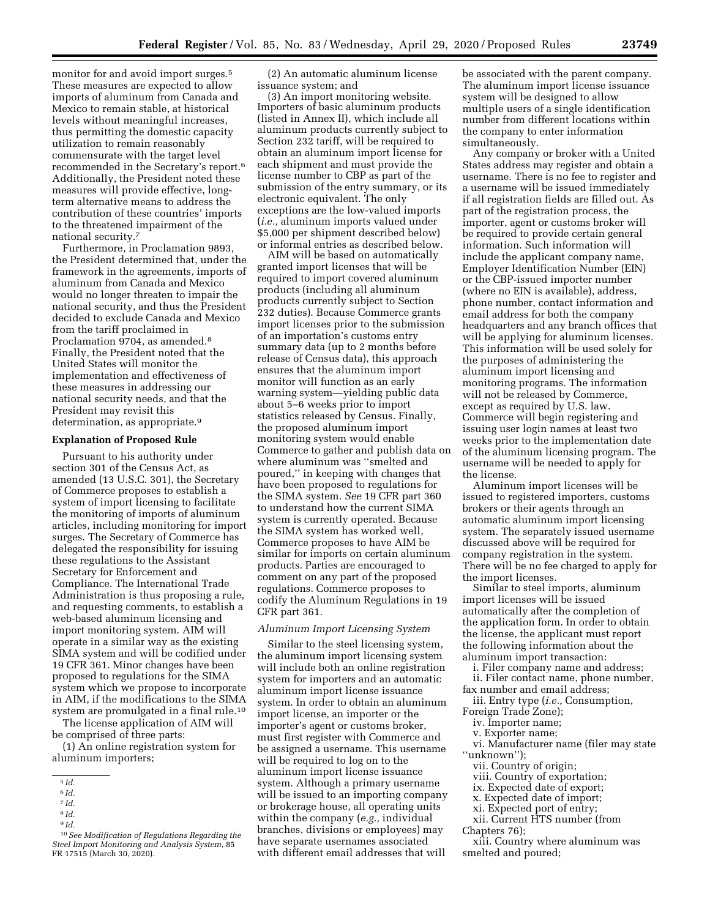monitor for and avoid import surges.<sup>5</sup> These measures are expected to allow imports of aluminum from Canada and Mexico to remain stable, at historical levels without meaningful increases, thus permitting the domestic capacity utilization to remain reasonably commensurate with the target level recommended in the Secretary's report.6 Additionally, the President noted these measures will provide effective, longterm alternative means to address the contribution of these countries' imports to the threatened impairment of the national security.7

Furthermore, in Proclamation 9893, the President determined that, under the framework in the agreements, imports of aluminum from Canada and Mexico would no longer threaten to impair the national security, and thus the President decided to exclude Canada and Mexico from the tariff proclaimed in Proclamation 9704, as amended.8 Finally, the President noted that the United States will monitor the implementation and effectiveness of these measures in addressing our national security needs, and that the President may revisit this determination, as appropriate.<sup>9</sup>

#### **Explanation of Proposed Rule**

Pursuant to his authority under section 301 of the Census Act, as amended (13 U.S.C. 301), the Secretary of Commerce proposes to establish a system of import licensing to facilitate the monitoring of imports of aluminum articles, including monitoring for import surges. The Secretary of Commerce has delegated the responsibility for issuing these regulations to the Assistant Secretary for Enforcement and Compliance. The International Trade Administration is thus proposing a rule, and requesting comments, to establish a web-based aluminum licensing and import monitoring system. AIM will operate in a similar way as the existing SIMA system and will be codified under 19 CFR 361. Minor changes have been proposed to regulations for the SIMA system which we propose to incorporate in AIM, if the modifications to the SIMA system are promulgated in a final rule.<sup>10</sup>

The license application of AIM will be comprised of three parts:

(1) An online registration system for aluminum importers;

(2) An automatic aluminum license issuance system; and

(3) An import monitoring website. Importers of basic aluminum products (listed in Annex II), which include all aluminum products currently subject to Section 232 tariff, will be required to obtain an aluminum import license for each shipment and must provide the license number to CBP as part of the submission of the entry summary, or its electronic equivalent. The only exceptions are the low-valued imports (*i.e.,* aluminum imports valued under \$5,000 per shipment described below) or informal entries as described below.

AIM will be based on automatically granted import licenses that will be required to import covered aluminum products (including all aluminum products currently subject to Section 232 duties). Because Commerce grants import licenses prior to the submission of an importation's customs entry summary data (up to 2 months before release of Census data), this approach ensures that the aluminum import monitor will function as an early warning system—yielding public data about 5–6 weeks prior to import statistics released by Census. Finally, the proposed aluminum import monitoring system would enable Commerce to gather and publish data on where aluminum was ''smelted and poured,'' in keeping with changes that have been proposed to regulations for the SIMA system. *See* 19 CFR part 360 to understand how the current SIMA system is currently operated. Because the SIMA system has worked well, Commerce proposes to have AIM be similar for imports on certain aluminum products. Parties are encouraged to comment on any part of the proposed regulations. Commerce proposes to codify the Aluminum Regulations in 19 CFR part 361.

#### *Aluminum Import Licensing System*

Similar to the steel licensing system, the aluminum import licensing system will include both an online registration system for importers and an automatic aluminum import license issuance system. In order to obtain an aluminum import license, an importer or the importer's agent or customs broker, must first register with Commerce and be assigned a username. This username will be required to log on to the aluminum import license issuance system. Although a primary username will be issued to an importing company or brokerage house, all operating units within the company (*e.g.,* individual branches, divisions or employees) may have separate usernames associated with different email addresses that will

be associated with the parent company. The aluminum import license issuance system will be designed to allow multiple users of a single identification number from different locations within the company to enter information simultaneously.

Any company or broker with a United States address may register and obtain a username. There is no fee to register and a username will be issued immediately if all registration fields are filled out. As part of the registration process, the importer, agent or customs broker will be required to provide certain general information. Such information will include the applicant company name, Employer Identification Number (EIN) or the CBP-issued importer number (where no EIN is available), address, phone number, contact information and email address for both the company headquarters and any branch offices that will be applying for aluminum licenses. This information will be used solely for the purposes of administering the aluminum import licensing and monitoring programs. The information will not be released by Commerce, except as required by U.S. law. Commerce will begin registering and issuing user login names at least two weeks prior to the implementation date of the aluminum licensing program. The username will be needed to apply for the license.

Aluminum import licenses will be issued to registered importers, customs brokers or their agents through an automatic aluminum import licensing system. The separately issued username discussed above will be required for company registration in the system. There will be no fee charged to apply for the import licenses.

Similar to steel imports, aluminum import licenses will be issued automatically after the completion of the application form. In order to obtain the license, the applicant must report the following information about the aluminum import transaction:

i. Filer company name and address;

ii. Filer contact name, phone number, fax number and email address;

iii. Entry type (*i.e.,* Consumption, Foreign Trade Zone);

- iv. Importer name;
- v. Exporter name;

vi. Manufacturer name (filer may state "unknown");

- vii. Country of origin;
- viii. Country of exportation;
- ix. Expected date of export;
- x. Expected date of import;
- xi. Expected port of entry;
- xii. Current HTS number (from

Chapters 76);

xiii. Country where aluminum was smelted and poured;

<sup>5</sup> *Id.* 

<sup>6</sup> *Id.* 

<sup>7</sup> *Id.* 

<sup>8</sup> *Id.* 

<sup>9</sup> *Id.* 

<sup>10</sup>*See Modification of Regulations Regarding the Steel Import Monitoring and Analysis System,* 85 FR 17515 (March 30, 2020).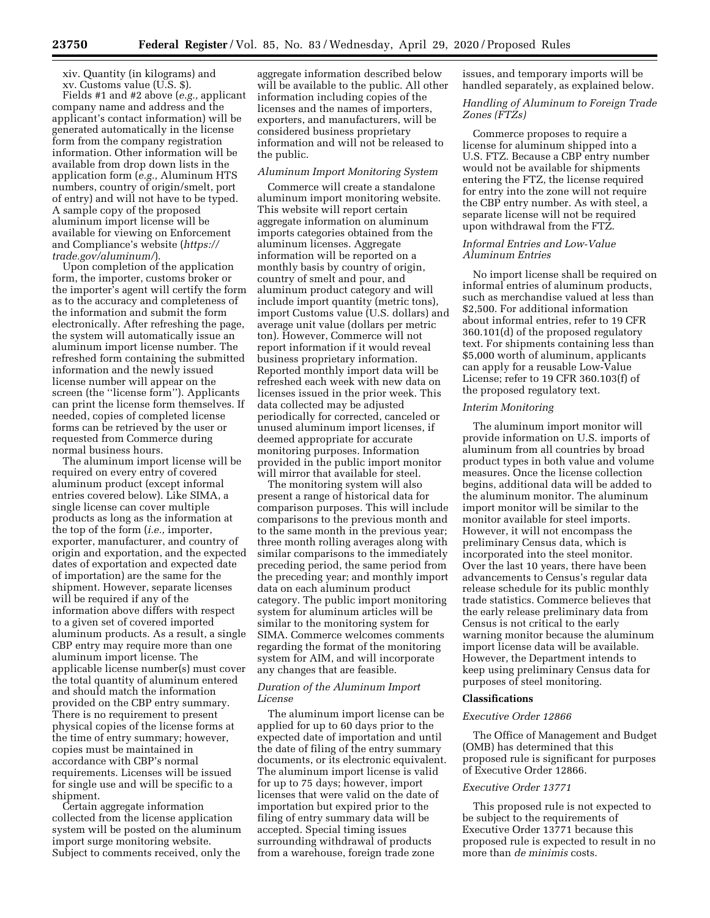xiv. Quantity (in kilograms) and xv. Customs value (U.S. \$).

Fields #1 and #2 above (*e.g.,* applicant company name and address and the applicant's contact information) will be generated automatically in the license form from the company registration information. Other information will be available from drop down lists in the application form (*e.g.,* Aluminum HTS numbers, country of origin/smelt, port of entry) and will not have to be typed. A sample copy of the proposed aluminum import license will be available for viewing on Enforcement and Compliance's website (*[https://](https://trade.gov/aluminum/) [trade.gov/aluminum/](https://trade.gov/aluminum/)*).

Upon completion of the application form, the importer, customs broker or the importer's agent will certify the form as to the accuracy and completeness of the information and submit the form electronically. After refreshing the page, the system will automatically issue an aluminum import license number. The refreshed form containing the submitted information and the newly issued license number will appear on the screen (the ''license form''). Applicants can print the license form themselves. If needed, copies of completed license forms can be retrieved by the user or requested from Commerce during normal business hours.

The aluminum import license will be required on every entry of covered aluminum product (except informal entries covered below). Like SIMA, a single license can cover multiple products as long as the information at the top of the form (*i.e.,* importer, exporter, manufacturer, and country of origin and exportation, and the expected dates of exportation and expected date of importation) are the same for the shipment. However, separate licenses will be required if any of the information above differs with respect to a given set of covered imported aluminum products. As a result, a single CBP entry may require more than one aluminum import license. The applicable license number(s) must cover the total quantity of aluminum entered and should match the information provided on the CBP entry summary. There is no requirement to present physical copies of the license forms at the time of entry summary; however, copies must be maintained in accordance with CBP's normal requirements. Licenses will be issued for single use and will be specific to a shipment.

Certain aggregate information collected from the license application system will be posted on the aluminum import surge monitoring website. Subject to comments received, only the

aggregate information described below will be available to the public. All other information including copies of the licenses and the names of importers, exporters, and manufacturers, will be considered business proprietary information and will not be released to the public.

#### *Aluminum Import Monitoring System*

Commerce will create a standalone aluminum import monitoring website. This website will report certain aggregate information on aluminum imports categories obtained from the aluminum licenses. Aggregate information will be reported on a monthly basis by country of origin, country of smelt and pour, and aluminum product category and will include import quantity (metric tons), import Customs value (U.S. dollars) and average unit value (dollars per metric ton). However, Commerce will not report information if it would reveal business proprietary information. Reported monthly import data will be refreshed each week with new data on licenses issued in the prior week. This data collected may be adjusted periodically for corrected, canceled or unused aluminum import licenses, if deemed appropriate for accurate monitoring purposes. Information provided in the public import monitor will mirror that available for steel.

The monitoring system will also present a range of historical data for comparison purposes. This will include comparisons to the previous month and to the same month in the previous year; three month rolling averages along with similar comparisons to the immediately preceding period, the same period from the preceding year; and monthly import data on each aluminum product category. The public import monitoring system for aluminum articles will be similar to the monitoring system for SIMA. Commerce welcomes comments regarding the format of the monitoring system for AIM, and will incorporate any changes that are feasible.

# *Duration of the Aluminum Import License*

The aluminum import license can be applied for up to 60 days prior to the expected date of importation and until the date of filing of the entry summary documents, or its electronic equivalent. The aluminum import license is valid for up to 75 days; however, import licenses that were valid on the date of importation but expired prior to the filing of entry summary data will be accepted. Special timing issues surrounding withdrawal of products from a warehouse, foreign trade zone

issues, and temporary imports will be handled separately, as explained below.

# *Handling of Aluminum to Foreign Trade Zones (FTZs)*

Commerce proposes to require a license for aluminum shipped into a U.S. FTZ. Because a CBP entry number would not be available for shipments entering the FTZ, the license required for entry into the zone will not require the CBP entry number. As with steel, a separate license will not be required upon withdrawal from the FTZ.

#### *Informal Entries and Low-Value Aluminum Entries*

No import license shall be required on informal entries of aluminum products, such as merchandise valued at less than \$2,500. For additional information about informal entries, refer to 19 CFR 360.101(d) of the proposed regulatory text. For shipments containing less than \$5,000 worth of aluminum, applicants can apply for a reusable Low-Value License; refer to 19 CFR 360.103(f) of the proposed regulatory text.

#### *Interim Monitoring*

The aluminum import monitor will provide information on U.S. imports of aluminum from all countries by broad product types in both value and volume measures. Once the license collection begins, additional data will be added to the aluminum monitor. The aluminum import monitor will be similar to the monitor available for steel imports. However, it will not encompass the preliminary Census data, which is incorporated into the steel monitor. Over the last 10 years, there have been advancements to Census's regular data release schedule for its public monthly trade statistics. Commerce believes that the early release preliminary data from Census is not critical to the early warning monitor because the aluminum import license data will be available. However, the Department intends to keep using preliminary Census data for purposes of steel monitoring.

# **Classifications**

#### *Executive Order 12866*

The Office of Management and Budget (OMB) has determined that this proposed rule is significant for purposes of Executive Order 12866.

#### *Executive Order 13771*

This proposed rule is not expected to be subject to the requirements of Executive Order 13771 because this proposed rule is expected to result in no more than *de minimis* costs.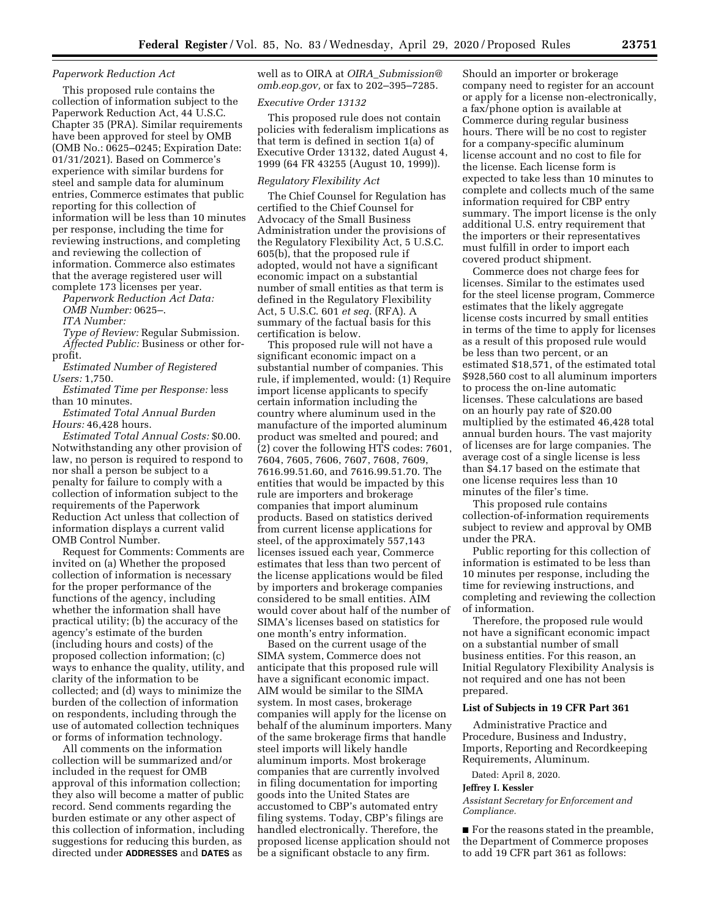#### *Paperwork Reduction Act*

This proposed rule contains the collection of information subject to the Paperwork Reduction Act, 44 U.S.C. Chapter 35 (PRA). Similar requirements have been approved for steel by OMB (OMB No.: 0625–0245; Expiration Date: 01/31/2021). Based on Commerce's experience with similar burdens for steel and sample data for aluminum entries, Commerce estimates that public reporting for this collection of information will be less than 10 minutes per response, including the time for reviewing instructions, and completing and reviewing the collection of information. Commerce also estimates that the average registered user will complete 173 licenses per year.

*Paperwork Reduction Act Data:* 

*OMB Number:* 0625–.

*ITA Number:* 

*Type of Review:* Regular Submission. *Affected Public:* Business or other forprofit.

*Estimated Number of Registered Users:* 1,750.

*Estimated Time per Response:* less than 10 minutes.

*Estimated Total Annual Burden Hours:* 46,428 hours.

*Estimated Total Annual Costs:* \$0.00. Notwithstanding any other provision of law, no person is required to respond to nor shall a person be subject to a penalty for failure to comply with a collection of information subject to the requirements of the Paperwork Reduction Act unless that collection of information displays a current valid OMB Control Number.

Request for Comments: Comments are invited on (a) Whether the proposed collection of information is necessary for the proper performance of the functions of the agency, including whether the information shall have practical utility; (b) the accuracy of the agency's estimate of the burden (including hours and costs) of the proposed collection information; (c) ways to enhance the quality, utility, and clarity of the information to be collected; and (d) ways to minimize the burden of the collection of information on respondents, including through the use of automated collection techniques or forms of information technology.

All comments on the information collection will be summarized and/or included in the request for OMB approval of this information collection; they also will become a matter of public record. Send comments regarding the burden estimate or any other aspect of this collection of information, including suggestions for reducing this burden, as directed under **ADDRESSES** and **DATES** as

well as to OIRA at *OIRA*\_*[Submission@](mailto:OIRA_Submission@omb.eop.gov) [omb.eop.gov,](mailto:OIRA_Submission@omb.eop.gov)* or fax to 202–395–7285.

#### *Executive Order 13132*

This proposed rule does not contain policies with federalism implications as that term is defined in section 1(a) of Executive Order 13132, dated August 4, 1999 (64 FR 43255 (August 10, 1999)).

#### *Regulatory Flexibility Act*

The Chief Counsel for Regulation has certified to the Chief Counsel for Advocacy of the Small Business Administration under the provisions of the Regulatory Flexibility Act, 5 U.S.C. 605(b), that the proposed rule if adopted, would not have a significant economic impact on a substantial number of small entities as that term is defined in the Regulatory Flexibility Act, 5 U.S.C. 601 *et seq.* (RFA). A summary of the factual basis for this certification is below.

This proposed rule will not have a significant economic impact on a substantial number of companies. This rule, if implemented, would: (1) Require import license applicants to specify certain information including the country where aluminum used in the manufacture of the imported aluminum product was smelted and poured; and (2) cover the following HTS codes: 7601, 7604, 7605, 7606, 7607, 7608, 7609, 7616.99.51.60, and 7616.99.51.70. The entities that would be impacted by this rule are importers and brokerage companies that import aluminum products. Based on statistics derived from current license applications for steel, of the approximately 557,143 licenses issued each year, Commerce estimates that less than two percent of the license applications would be filed by importers and brokerage companies considered to be small entities. AIM would cover about half of the number of SIMA's licenses based on statistics for one month's entry information.

Based on the current usage of the SIMA system, Commerce does not anticipate that this proposed rule will have a significant economic impact. AIM would be similar to the SIMA system. In most cases, brokerage companies will apply for the license on behalf of the aluminum importers. Many of the same brokerage firms that handle steel imports will likely handle aluminum imports. Most brokerage companies that are currently involved in filing documentation for importing goods into the United States are accustomed to CBP's automated entry filing systems. Today, CBP's filings are handled electronically. Therefore, the proposed license application should not be a significant obstacle to any firm.

Should an importer or brokerage company need to register for an account or apply for a license non-electronically, a fax/phone option is available at Commerce during regular business hours. There will be no cost to register for a company-specific aluminum license account and no cost to file for the license. Each license form is expected to take less than 10 minutes to complete and collects much of the same information required for CBP entry summary. The import license is the only additional U.S. entry requirement that the importers or their representatives must fulfill in order to import each covered product shipment.

Commerce does not charge fees for licenses. Similar to the estimates used for the steel license program, Commerce estimates that the likely aggregate license costs incurred by small entities in terms of the time to apply for licenses as a result of this proposed rule would be less than two percent, or an estimated \$18,571, of the estimated total \$928,560 cost to all aluminum importers to process the on-line automatic licenses. These calculations are based on an hourly pay rate of \$20.00 multiplied by the estimated 46,428 total annual burden hours. The vast majority of licenses are for large companies. The average cost of a single license is less than \$4.17 based on the estimate that one license requires less than 10 minutes of the filer's time.

This proposed rule contains collection-of-information requirements subject to review and approval by OMB under the PRA.

Public reporting for this collection of information is estimated to be less than 10 minutes per response, including the time for reviewing instructions, and completing and reviewing the collection of information.

Therefore, the proposed rule would not have a significant economic impact on a substantial number of small business entities. For this reason, an Initial Regulatory Flexibility Analysis is not required and one has not been prepared.

#### **List of Subjects in 19 CFR Part 361**

Administrative Practice and Procedure, Business and Industry, Imports, Reporting and Recordkeeping Requirements, Aluminum.

Dated: April 8, 2020.

#### **Jeffrey I. Kessler**

*Assistant Secretary for Enforcement and Compliance.* 

■ For the reasons stated in the preamble, the Department of Commerce proposes to add 19 CFR part 361 as follows: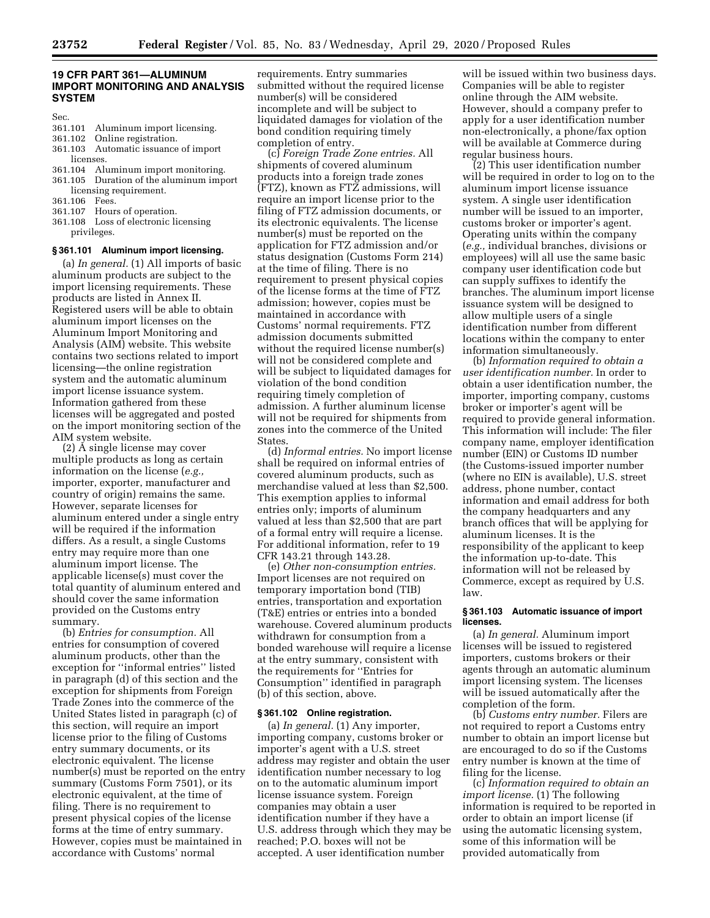#### **19 CFR PART 361—ALUMINUM IMPORT MONITORING AND ANALYSIS SYSTEM**

Sec.

- 361.101 Aluminum import licensing.
- 361.102 Online registration.
- 361.103 Automatic issuance of import licenses.
- 361.104 Aluminum import monitoring.
- 361.105 Duration of the aluminum import licensing requirement.
- 361.106 Fees.
- 361.107 Hours of operation.
- 361.108 Loss of electronic licensing privileges.

#### **§ 361.101 Aluminum import licensing.**

(a) *In general.* (1) All imports of basic aluminum products are subject to the import licensing requirements. These products are listed in Annex II. Registered users will be able to obtain aluminum import licenses on the Aluminum Import Monitoring and Analysis (AIM) website. This website contains two sections related to import licensing—the online registration system and the automatic aluminum import license issuance system. Information gathered from these licenses will be aggregated and posted on the import monitoring section of the AIM system website.

(2) A single license may cover multiple products as long as certain information on the license (*e.g.,*  importer, exporter, manufacturer and country of origin) remains the same. However, separate licenses for aluminum entered under a single entry will be required if the information differs. As a result, a single Customs entry may require more than one aluminum import license. The applicable license(s) must cover the total quantity of aluminum entered and should cover the same information provided on the Customs entry summary.

(b) *Entries for consumption.* All entries for consumption of covered aluminum products, other than the exception for ''informal entries'' listed in paragraph (d) of this section and the exception for shipments from Foreign Trade Zones into the commerce of the United States listed in paragraph (c) of this section, will require an import license prior to the filing of Customs entry summary documents, or its electronic equivalent. The license number(s) must be reported on the entry summary (Customs Form 7501), or its electronic equivalent, at the time of filing. There is no requirement to present physical copies of the license forms at the time of entry summary. However, copies must be maintained in accordance with Customs' normal

requirements. Entry summaries submitted without the required license number(s) will be considered incomplete and will be subject to liquidated damages for violation of the bond condition requiring timely completion of entry.

(c) *Foreign Trade Zone entries.* All shipments of covered aluminum products into a foreign trade zones (FTZ), known as FTZ admissions, will require an import license prior to the filing of FTZ admission documents, or its electronic equivalents. The license number(s) must be reported on the application for FTZ admission and/or status designation (Customs Form 214) at the time of filing. There is no requirement to present physical copies of the license forms at the time of FTZ admission; however, copies must be maintained in accordance with Customs' normal requirements. FTZ admission documents submitted without the required license number(s) will not be considered complete and will be subject to liquidated damages for violation of the bond condition requiring timely completion of admission. A further aluminum license will not be required for shipments from zones into the commerce of the United States.

(d) *Informal entries.* No import license shall be required on informal entries of covered aluminum products, such as merchandise valued at less than \$2,500. This exemption applies to informal entries only; imports of aluminum valued at less than \$2,500 that are part of a formal entry will require a license. For additional information, refer to 19 CFR 143.21 through 143.28.

(e) *Other non-consumption entries.*  Import licenses are not required on temporary importation bond (TIB) entries, transportation and exportation (T&E) entries or entries into a bonded warehouse. Covered aluminum products withdrawn for consumption from a bonded warehouse will require a license at the entry summary, consistent with the requirements for ''Entries for Consumption'' identified in paragraph (b) of this section, above.

#### **§ 361.102 Online registration.**

(a) *In general.* (1) Any importer, importing company, customs broker or importer's agent with a U.S. street address may register and obtain the user identification number necessary to log on to the automatic aluminum import license issuance system. Foreign companies may obtain a user identification number if they have a U.S. address through which they may be reached; P.O. boxes will not be accepted. A user identification number

will be issued within two business days. Companies will be able to register online through the AIM website. However, should a company prefer to apply for a user identification number non-electronically, a phone/fax option will be available at Commerce during regular business hours.

(2) This user identification number will be required in order to log on to the aluminum import license issuance system. A single user identification number will be issued to an importer, customs broker or importer's agent. Operating units within the company (*e.g.,* individual branches, divisions or employees) will all use the same basic company user identification code but can supply suffixes to identify the branches. The aluminum import license issuance system will be designed to allow multiple users of a single identification number from different locations within the company to enter information simultaneously.

(b) *Information required to obtain a user identification number.* In order to obtain a user identification number, the importer, importing company, customs broker or importer's agent will be required to provide general information. This information will include: The filer company name, employer identification number (EIN) or Customs ID number (the Customs-issued importer number (where no EIN is available), U.S. street address, phone number, contact information and email address for both the company headquarters and any branch offices that will be applying for aluminum licenses. It is the responsibility of the applicant to keep the information up-to-date. This information will not be released by Commerce, except as required by U.S. law.

#### **§ 361.103 Automatic issuance of import licenses.**

(a) *In general.* Aluminum import licenses will be issued to registered importers, customs brokers or their agents through an automatic aluminum import licensing system. The licenses will be issued automatically after the completion of the form.

(b) *Customs entry number.* Filers are not required to report a Customs entry number to obtain an import license but are encouraged to do so if the Customs entry number is known at the time of filing for the license.

(c) *Information required to obtain an import license.* (1) The following information is required to be reported in order to obtain an import license (if using the automatic licensing system, some of this information will be provided automatically from